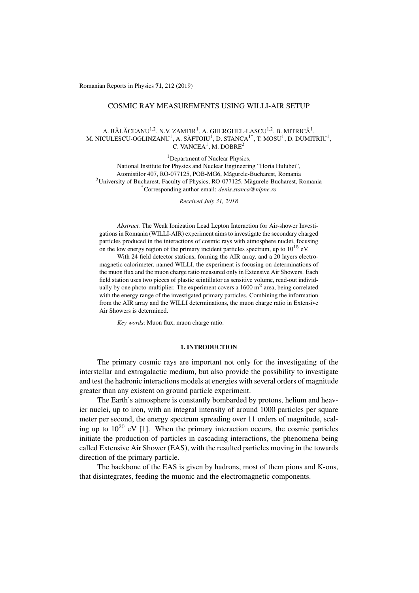Romanian Reports in Physics 71, 212 (2019)

## COSMIC RAY MEASUREMENTS USING WILLI-AIR SETUP

# A. BĂLĂCEANU<sup>1,2</sup>, N.V. ZAMFIR<sup>1</sup>, A. GHERGHEL-LASCU<sup>1,2</sup>, B. MITRICĂ<sup>1</sup>, M. NICULESCU-OGLINZANU $^{\rm l}$ , A. SĂFTOIU $^{\rm l}$ , D. STANCA $^{\rm l\ast}$ , T. MOSU $^{\rm l}$ , D. DUMITRIU $^{\rm l}$ , C. VANCEA<sup>1</sup>, M. DOBRE<sup>2</sup>

<sup>1</sup>Department of Nuclear Physics, National Institute for Physics and Nuclear Engineering "Horia Hulubei", Atomistilor 407, RO-077125, POB-MG6, Magurele-Bucharest, Romania ˘ 2University of Bucharest, Faculty of Physics, RO-077125, Magurele-Bucharest, Romania ˘ \*Corresponding author email: *denis.stanca@nipne.ro*

*Received July 31, 2018*

*Abstract.* The Weak Ionization Lead Lepton Interaction for Air-shower Investigations in Romania (WILLI-AIR) experiment aims to investigate the secondary charged particles produced in the interactions of cosmic rays with atmosphere nuclei, focusing on the low energy region of the primary incident particles spectrum, up to  $10^{15}$  eV.

With 24 field detector stations, forming the AIR array, and a 20 layers electromagnetic calorimeter, named WILLI, the experiment is focusing on determinations of the muon flux and the muon charge ratio measured only in Extensive Air Showers. Each field station uses two pieces of plastic scintillator as sensitive volume, read-out individually by one photo-multiplier. The experiment covers a  $1600 \text{ m}^2$  area, being correlated with the energy range of the investigated primary particles. Combining the information from the AIR array and the WILLI determinations, the muon charge ratio in Extensive Air Showers is determined.

*Key words*: Muon flux, muon charge ratio.

## 1. INTRODUCTION

The primary cosmic rays are important not only for the investigating of the interstellar and extragalactic medium, but also provide the possibility to investigate and test the hadronic interactions models at energies with several orders of magnitude greater than any existent on ground particle experiment.

The Earth's atmosphere is constantly bombarded by protons, helium and heavier nuclei, up to iron, with an integral intensity of around 1000 particles per square meter per second, the energy spectrum spreading over 11 orders of magnitude, scaling up to  $10^{20}$  eV [1]. When the primary interaction occurs, the cosmic particles initiate the production of particles in cascading interactions, the phenomena being called Extensive Air Shower (EAS), with the resulted particles moving in the towards direction of the primary particle.

The backbone of the EAS is given by hadrons, most of them pions and K-ons, that disintegrates, feeding the muonic and the electromagnetic components.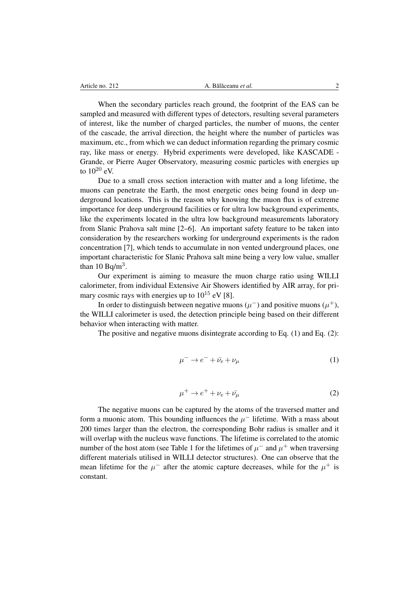When the secondary particles reach ground, the footprint of the EAS can be sampled and measured with different types of detectors, resulting several parameters of interest, like the number of charged particles, the number of muons, the center of the cascade, the arrival direction, the height where the number of particles was maximum, etc., from which we can deduct information regarding the primary cosmic ray, like mass or energy. Hybrid experiments were developed, like KASCADE - Grande, or Pierre Auger Observatory, measuring cosmic particles with energies up to  $10^{20}$  eV.

Due to a small cross section interaction with matter and a long lifetime, the muons can penetrate the Earth, the most energetic ones being found in deep underground locations. This is the reason why knowing the muon flux is of extreme importance for deep underground facilities or for ultra low background experiments, like the experiments located in the ultra low background measurements laboratory from Slanic Prahova salt mine [2–6]. An important safety feature to be taken into consideration by the researchers working for underground experiments is the radon concentration [7], which tends to accumulate in non vented underground places, one important characteristic for Slanic Prahova salt mine being a very low value, smaller than  $10$  Bq/m<sup>3</sup>.

Our experiment is aiming to measure the muon charge ratio using WILLI calorimeter, from individual Extensive Air Showers identified by AIR array, for primary cosmic rays with energies up to  $10^{15}$  eV [8].

In order to distinguish between negative muons ( $\mu$ <sup>-</sup>) and positive muons ( $\mu$ <sup>+</sup>), the WILLI calorimeter is used, the detection principle being based on their different behavior when interacting with matter.

The positive and negative muons disintegrate according to Eq. (1) and Eq. (2):

$$
\mu^- \to e^- + \bar{\nu_e} + \nu_\mu \tag{1}
$$

$$
\mu^+ \to e^+ + \nu_e + \bar{\nu_\mu} \tag{2}
$$

The negative muons can be captured by the atoms of the traversed matter and form a muonic atom. This bounding influences the  $\mu^-$  lifetime. With a mass about 200 times larger than the electron, the corresponding Bohr radius is smaller and it will overlap with the nucleus wave functions. The lifetime is correlated to the atomic number of the host atom (see Table 1 for the lifetimes of  $\mu^-$  and  $\mu^+$  when traversing different materials utilised in WILLI detector structures). One can observe that the mean lifetime for the  $\mu^-$  after the atomic capture decreases, while for the  $\mu^+$  is constant.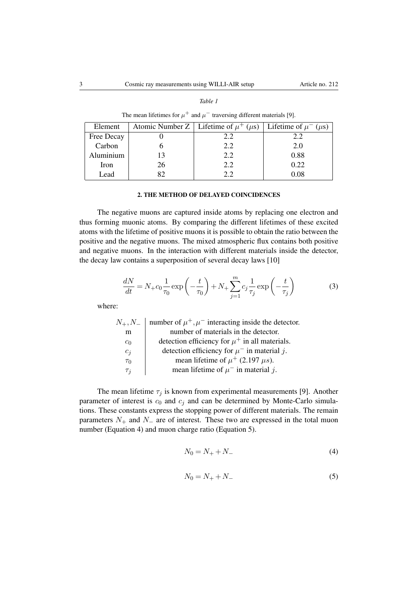|--|--|

| The mean lifetimes for $\mu^+$ and $\mu^-$ traversing different materials [9]. |  |  |
|--------------------------------------------------------------------------------|--|--|
|--------------------------------------------------------------------------------|--|--|

| Element    |    | Atomic Number Z   Lifetime of $\mu^+$ ( $\mu$ s)   Lifetime of $\mu^-$ ( $\mu$ s) |      |
|------------|----|-----------------------------------------------------------------------------------|------|
| Free Decay |    | 2.2                                                                               | 2.2  |
| Carbon     |    | 2.2                                                                               | 2.0  |
| Aluminium  |    | 2.2                                                                               | 0.88 |
| Iron       | 26 | 2.2                                                                               | 0.22 |
| Lead       |    | つつ                                                                                | 0.08 |

#### 2. THE METHOD OF DELAYED COINCIDENCES

The negative muons are captured inside atoms by replacing one electron and thus forming muonic atoms. By comparing the different lifetimes of these excited atoms with the lifetime of positive muons it is possible to obtain the ratio between the positive and the negative muons. The mixed atmospheric flux contains both positive and negative muons. In the interaction with different materials inside the detector, the decay law contains a superposition of several decay laws [10]

$$
\frac{dN}{dt} = N_+ c_0 \frac{1}{\tau_0} \exp\left(-\frac{t}{\tau_0}\right) + N_+ \sum_{j=1}^m c_j \frac{1}{\tau_j} \exp\left(-\frac{t}{\tau_j}\right) \tag{3}
$$

where:

| $N_{+}, N_{-}$ | number of $\mu^+, \mu^-$ interacting inside the detector. |
|----------------|-----------------------------------------------------------|
| m              | number of materials in the detector.                      |
| $c_0$          | detection efficiency for $\mu^+$ in all materials.        |
| $c_j$          | detection efficiency for $\mu^-$ in material j.           |
| $\tau_0$       | mean lifetime of $\mu^+$ (2.197 $\mu$ s).                 |
| $\tau_i$       | mean lifetime of $\mu^-$ in material j.                   |

The mean lifetime  $\tau_j$  is known from experimental measurements [9]. Another parameter of interest is  $c_0$  and  $c_j$  and can be determined by Monte-Carlo simulations. These constants express the stopping power of different materials. The remain parameters  $N_+$  and  $N_-$  are of interest. These two are expressed in the total muon number (Equation 4) and muon charge ratio (Equation 5).

$$
N_0 = N_+ + N_- \tag{4}
$$

$$
N_0 = N_+ + N_- \tag{5}
$$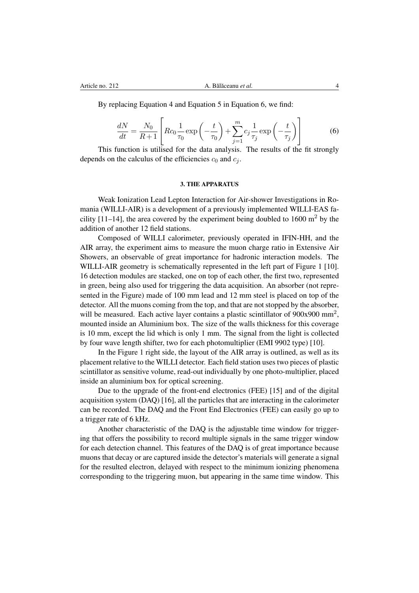By replacing Equation 4 and Equation 5 in Equation 6, we find:

$$
\frac{dN}{dt} = \frac{N_0}{R+1} \left[ Rc_0 \frac{1}{\tau_0} \exp\left(-\frac{t}{\tau_0}\right) + \sum_{j=1}^m c_j \frac{1}{\tau_j} \exp\left(-\frac{t}{\tau_j}\right) \right]
$$
(6)

This function is utilised for the data analysis. The results of the fit strongly depends on the calculus of the efficiencies  $c_0$  and  $c_j$ .

#### 3. THE APPARATUS

Weak Ionization Lead Lepton Interaction for Air-shower Investigations in Romania (WILLI-AIR) is a development of a previously implemented WILLI-EAS facility  $[11-14]$ , the area covered by the experiment being doubled to 1600 m<sup>2</sup> by the addition of another 12 field stations.

Composed of WILLI calorimeter, previously operated in IFIN-HH, and the AIR array, the experiment aims to measure the muon charge ratio in Extensive Air Showers, an observable of great importance for hadronic interaction models. The WILLI-AIR geometry is schematically represented in the left part of Figure 1 [10]. 16 detection modules are stacked, one on top of each other, the first two, represented in green, being also used for triggering the data acquisition. An absorber (not represented in the Figure) made of 100 mm lead and 12 mm steel is placed on top of the detector. All the muons coming from the top, and that are not stopped by the absorber, will be measured. Each active layer contains a plastic scintillator of  $900x900$  mm<sup>2</sup>, mounted inside an Aluminium box. The size of the walls thickness for this coverage is 10 mm, except the lid which is only 1 mm. The signal from the light is collected by four wave length shifter, two for each photomultiplier (EMI 9902 type) [10].

In the Figure 1 right side, the layout of the AIR array is outlined, as well as its placement relative to the WILLI detector. Each field station uses two pieces of plastic scintillator as sensitive volume, read-out individually by one photo-multiplier, placed inside an aluminium box for optical screening.

Due to the upgrade of the front-end electronics (FEE) [15] and of the digital acquisition system (DAQ) [16], all the particles that are interacting in the calorimeter can be recorded. The DAQ and the Front End Electronics (FEE) can easily go up to a trigger rate of 6 kHz.

Another characteristic of the DAQ is the adjustable time window for triggering that offers the possibility to record multiple signals in the same trigger window for each detection channel. This features of the DAQ is of great importance because muons that decay or are captured inside the detector's materials will generate a signal for the resulted electron, delayed with respect to the minimum ionizing phenomena corresponding to the triggering muon, but appearing in the same time window. This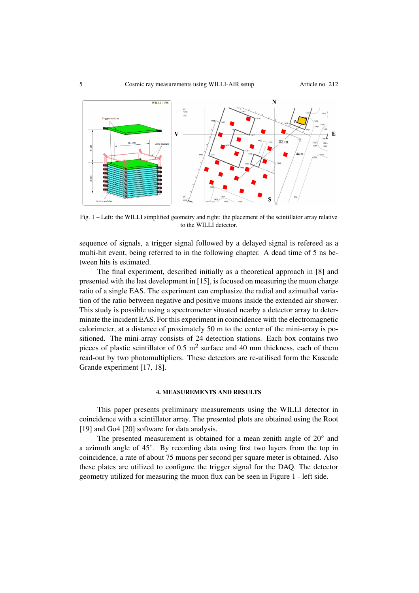

Fig. 1 – Left: the WILLI simplified geometry and right: the placement of the scintillator array relative to the WILLI detector.

sequence of signals, a trigger signal followed by a delayed signal is refereed as a multi-hit event, being referred to in the following chapter. A dead time of 5 ns between hits is estimated.

The final experiment, described initially as a theoretical approach in [8] and presented with the last development in [15], is focused on measuring the muon charge ratio of a single EAS. The experiment can emphasize the radial and azimuthal variation of the ratio between negative and positive muons inside the extended air shower. This study is possible using a spectrometer situated nearby a detector array to determinate the incident EAS. For this experiment in coincidence with the electromagnetic calorimeter, at a distance of proximately 50 m to the center of the mini-array is positioned. The mini-array consists of 24 detection stations. Each box contains two pieces of plastic scintillator of  $0.5 \text{ m}^2$  surface and 40 mm thickness, each of them read-out by two photomultipliers. These detectors are re-utilised form the Kascade Grande experiment [17, 18].

## 4. MEASUREMENTS AND RESULTS

This paper presents preliminary measurements using the WILLI detector in coincidence with a scintillator array. The presented plots are obtained using the Root [19] and Go4 [20] software for data analysis.

The presented measurement is obtained for a mean zenith angle of  $20^{\circ}$  and a azimuth angle of  $45^\circ$ . By recording data using first two layers from the top in coincidence, a rate of about 75 muons per second per square meter is obtained. Also these plates are utilized to configure the trigger signal for the DAQ. The detector geometry utilized for measuring the muon flux can be seen in Figure 1 - left side.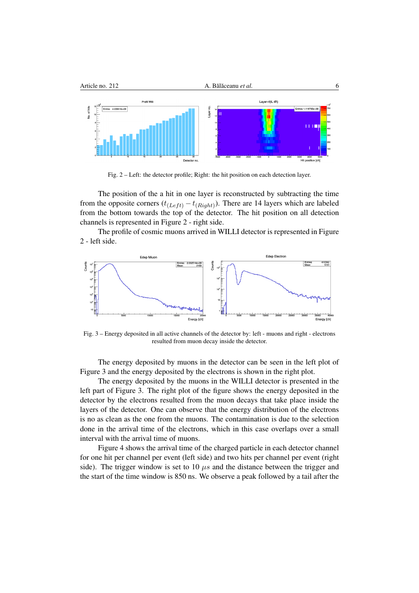

Fig. 2 – Left: the detector profile; Right: the hit position on each detection layer.

The position of the a hit in one layer is reconstructed by subtracting the time from the opposite corners  $(t_{(Left)} - t_{(Right)})$ . There are 14 layers which are labeled from the bottom towards the top of the detector. The hit position on all detection channels is represented in Figure 2 - right side.

The profile of cosmic muons arrived in WILLI detector is represented in Figure 2 - left side.



Fig. 3 – Energy deposited in all active channels of the detector by: left - muons and right - electrons resulted from muon decay inside the detector.

The energy deposited by muons in the detector can be seen in the left plot of Figure 3 and the energy deposited by the electrons is shown in the right plot.

The energy deposited by the muons in the WILLI detector is presented in the left part of Figure 3. The right plot of the figure shows the energy deposited in the detector by the electrons resulted from the muon decays that take place inside the layers of the detector. One can observe that the energy distribution of the electrons is no as clean as the one from the muons. The contamination is due to the selection done in the arrival time of the electrons, which in this case overlaps over a small interval with the arrival time of muons.

Figure 4 shows the arrival time of the charged particle in each detector channel for one hit per channel per event (left side) and two hits per channel per event (right side). The trigger window is set to 10  $\mu$ s and the distance between the trigger and the start of the time window is 850 ns. We observe a peak followed by a tail after the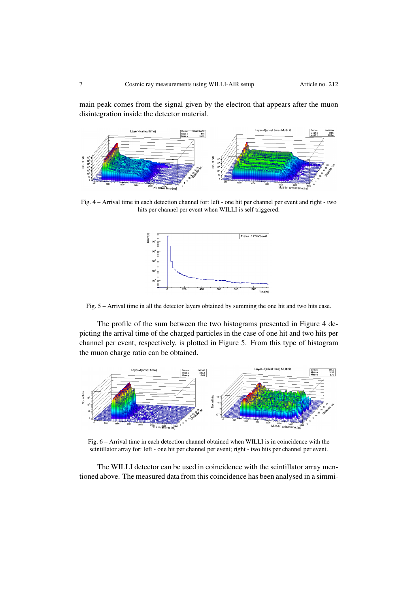main peak comes from the signal given by the electron that appears after the muon disintegration inside the detector material.



Fig. 4 – Arrival time in each detection channel for: left - one hit per channel per event and right - two hits per channel per event when WILLI is self triggered.



Fig. 5 – Arrival time in all the detector layers obtained by summing the one hit and two hits case.

The profile of the sum between the two histograms presented in Figure 4 depicting the arrival time of the charged particles in the case of one hit and two hits per channel per event, respectively, is plotted in Figure 5. From this type of histogram the muon charge ratio can be obtained.



Fig. 6 – Arrival time in each detection channel obtained when WILLI is in coincidence with the scintillator array for: left - one hit per channel per event; right - two hits per channel per event.

The WILLI detector can be used in coincidence with the scintillator array mentioned above. The measured data from this coincidence has been analysed in a simmi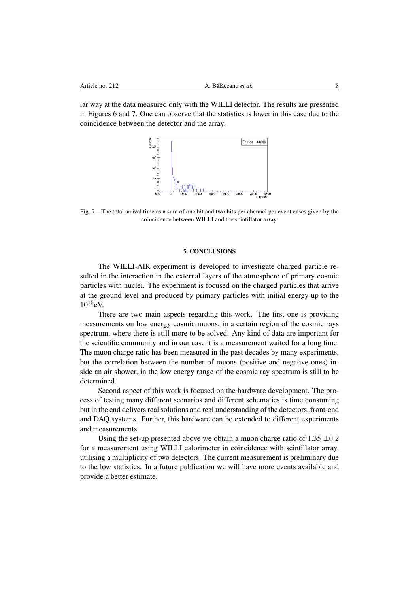lar way at the data measured only with the WILLI detector. The results are presented in Figures 6 and 7. One can observe that the statistics is lower in this case due to the coincidence between the detector and the array.



Fig. 7 – The total arrival time as a sum of one hit and two hits per channel per event cases given by the coincidence between WILLI and the scintillator array.

#### 5. CONCLUSIONS

The WILLI-AIR experiment is developed to investigate charged particle resulted in the interaction in the external layers of the atmosphere of primary cosmic particles with nuclei. The experiment is focused on the charged particles that arrive at the ground level and produced by primary particles with initial energy up to the  $10^{15}$ eV.

There are two main aspects regarding this work. The first one is providing measurements on low energy cosmic muons, in a certain region of the cosmic rays spectrum, where there is still more to be solved. Any kind of data are important for the scientific community and in our case it is a measurement waited for a long time. The muon charge ratio has been measured in the past decades by many experiments, but the correlation between the number of muons (positive and negative ones) inside an air shower, in the low energy range of the cosmic ray spectrum is still to be determined.

Second aspect of this work is focused on the hardware development. The process of testing many different scenarios and different schematics is time consuming but in the end delivers real solutions and real understanding of the detectors, front-end and DAQ systems. Further, this hardware can be extended to different experiments and measurements.

Using the set-up presented above we obtain a muon charge ratio of 1.35 *±*0*.*2 for a measurement using WILLI calorimeter in coincidence with scintillator array, utilising a multiplicity of two detectors. The current measurement is preliminary due to the low statistics. In a future publication we will have more events available and provide a better estimate.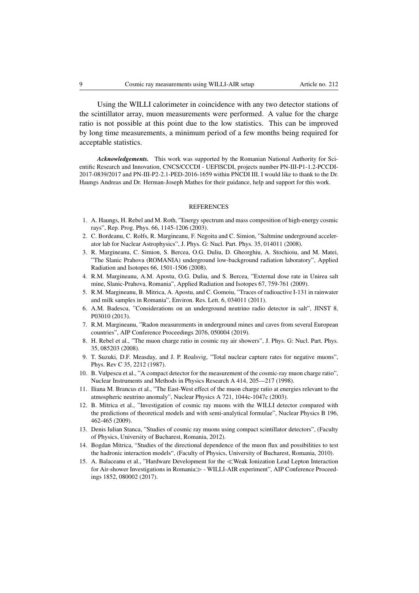Using the WILLI calorimeter in coincidence with any two detector stations of the scintillator array, muon measurements were performed. A value for the charge ratio is not possible at this point due to the low statistics. This can be improved by long time measurements, a minimum period of a few months being required for acceptable statistics.

*Acknowledgements.* This work was supported by the Romanian National Authority for Scientific Research and Innovation, CNCS/CCCDI - UEFISCDI, projects number PN-III-P1-1.2-PCCDI-2017-0839/2017 and PN-III-P2-2.1-PED-2016-1659 within PNCDI III. I would like to thank to the Dr. Haungs Andreas and Dr. Herman-Joseph Mathes for their guidance, help and support for this work.

#### **REFERENCES**

- 1. A. Haungs, H. Rebel and M. Roth, "Energy spectrum and mass composition of high-energy cosmic rays", Rep. Prog. Phys. 66, 1145-1206 (2003).
- 2. C. Bordeanu, C. Rolfs, R. Margineanu, F. Negoita and C. Simion, "Saltmine underground accelerator lab for Nuclear Astrophysics", J. Phys. G: Nucl. Part. Phys. 35, 014011 (2008).
- 3. R. Margineanu, C. Simion, S. Bercea, O.G. Duliu, D. Gheorghiu, A. Stochioiu, and M. Matei, "The Slanic Prahova (ROMANIA) underground low-background radiation laboratory", Applied Radiation and Isotopes 66, 1501-1506 (2008).
- 4. R.M. Margineanu, A.M. Apostu, O.G. Duliu, and S. Bercea, "External dose rate in Unirea salt mine, Slanic-Prahova, Romania", Applied Radiation and Isotopes 67, 759-761 (2009).
- 5. R.M. Margineanu, B. Mitrica, A. Apostu, and C. Gomoiu, "Traces of radioactive I-131 in rainwater and milk samples in Romania", Environ. Res. Lett. 6, 034011 (2011).
- 6. A.M. Badescu, "Considerations on an underground neutrino radio detector in salt", JINST 8, P03010 (2013).
- 7. R.M. Margineanu, "Radon measurements in underground mines and caves from several European countries", AIP Conference Proceedings 2076, 050004 (2019).
- 8. H. Rebel et al., "The muon charge ratio in cosmic ray air showers", J. Phys. G: Nucl. Part. Phys. 35, 085203 (2008).
- 9. T. Suzuki, D.F. Measday, and J. P. Roalsvig, "Total nuclear capture rates for negative muons", Phys. Rev C 35, 2212 (1987).
- 10. B. Vulpescu et al., "A compact detector for the measurement of the cosmic-ray muon charge ratio", Nuclear Instruments and Methods in Physics Research A 414, 205—217 (1998).
- 11. Iliana M. Brancus et al., "The East-West effect of the muon charge ratio at energies relevant to the atmospheric neutrino anomaly", Nuclear Physics A 721, 1044c-1047c (2003).
- 12. B. Mitrica et al., "Investigation of cosmic ray muons with the WILLI detector compared with the predictions of theoretical models and with semi-analytical formulae", Nuclear Physics B 196, 462-465 (2009).
- 13. Denis Iulian Stanca, "Studies of cosmic ray muons using compact scintillator detectors", (Faculty of Physics, University of Bucharest, Romania, 2012).
- 14. Bogdan Mitrica, "Studies of the directional dependence of the muon flux and possibilities to test the hadronic interaction models", (Faculty of Physics, University of Bucharest, Romania, 2010).
- 15. A. Balaceanu et al., "Hardware Development for the «Weak Ionization Lead Lepton Interaction for Air-shower Investigations in Romania  $\gg$  - WILLI-AIR experiment", AIP Conference Proceedings 1852, 080002 (2017).